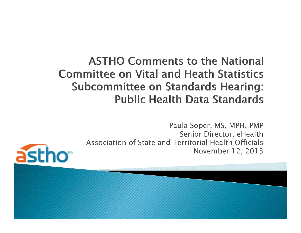#### **ASTHO Comments to the National Committee on Vital and Heath Statistics Subcommittee on Standards Hearing: Public Health Data Standards**

Paula Soper, MS, MPH, PMP Senior Director, eHealth Association of State and Territorial Health OfficialsNovember 12, 2013

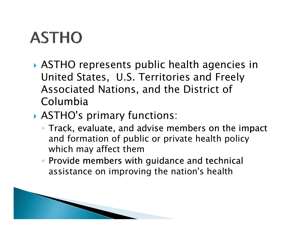# **ASTHO**

- ASTHO represents public health agencies in United States, U.S. Territories and Freely Associated Nations, and the District of Columbia
- ASTHO's primary functions:
	- Track, evaluate, and advise members on the impact and formation of public or private health policy which may affect them
	- Provide members with guidance and technical assistance on improving the nation's health

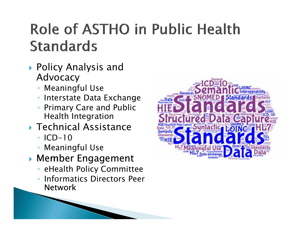### Role of ASTHO in Public Health **Standards**

- Policy Analysis and Advocacy
	- Meaningful Use
	- Interstate Data Exchange
	- Primary Care and Public Health Integration
- Technical Assistance
	- ICD-10
	- Meaningful Use
- Member Engagement
	- eHealth Policy Committee
	- Informatics Directors Peer Network

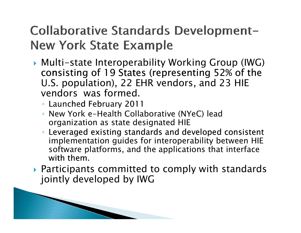#### Collaborative Standards Development-**New York State Example**

- Multi-state Interoperability Working Group (IWG) consisting of 19 States (representing 52% of the U.S. population), 22 EHR vendors, and 23 HIE vendors was formed.
	- $\, \circ \,$  Launched February 2011
	- New York e-Health Collaborative (NYeC) lead organization as state designated HIE
	- Leveraged existing standards and developed consistent implementation guides for interoperability between HIE software platforms, and the applications that interface with them.
- Participants committed to comply with standards jointly developed by IWG

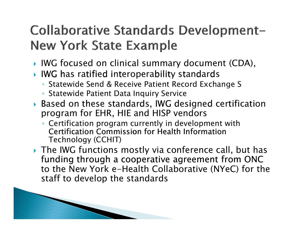### Collaborative Standards Development-**New York State Example**

- IWG focused on clinical summary document (CDA),
- $\blacktriangleright$  IWG has ratified interoperability standards
	- Statewide Send & Receive Patient Record Exchange S
	- Statewide Patient Data Inquiry Service
- $\blacktriangleright$  Based on these standards, IWG designed certification program for EHR, HIE and HISP vendors
	- Certification program currently in development with Certification Commission for Health Information Technology (CCHIT)
- The IWG functions mostly via conference call, but has funding through a cooperative agreement from ONC to the New York e-Health Collaborative (NYeC) for the staff to develop the standards

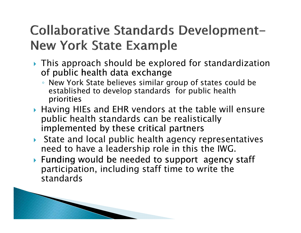### Collaborative Standards Development-**New York State Example**

- This approach should be explored for standardization of public health data exchange
	- New York State believes similar group of states could be established to develop standards for public health priorities
- Having HIEs and EHR vendors at the table will ensure public health standards can be realistically implemented by these critical partners
- State and local public health agency representatives need to have a leadership role in this the IWG.
- $\blacktriangleright$  Funding would be needed to support agency staff participation, including staff time to write the standards

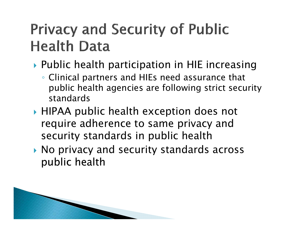## **Privacy and Security of Public Health Data**

- Public health participation in HIE increasing
	- Clinical partners and HIEs need assurance that public health agencies are following strict security standards
- HIPAA public health exception does not require adherence to same privacy and security standards in public health
- No privacy and security standards across public health health

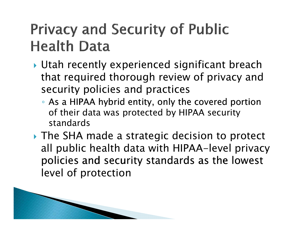## **Privacy and Security of Public Health Data**

- Utah recently experienced significant breach that required thorough review of privacy and security policies and practices
	- As a HIPAA hybrid entity, only the covered portion of their data was protected by HIPAA security standards
- ▶ The SHA made a strategic decision to protect all public health data with HIPAA-level privacy policies and security standards as the lowest level of protection

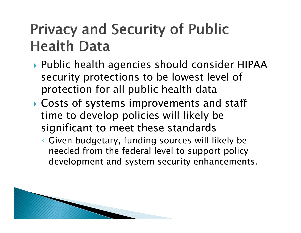### **Privacy and Security of Public Health Data**

- Public health agencies should consider HIPAA security protections to be lowest level of protection for all public health data
- Costs of systems improvements and staff time to develop policies will likely be significant to meet these standards
	- Given budgetary, funding sources will likely be development and system security enhancements. needed from the federal level to support policy